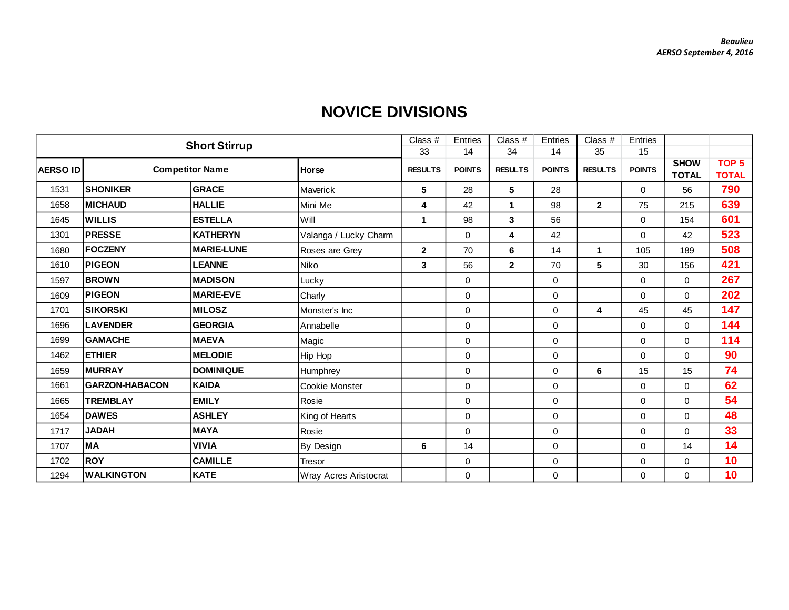|                 | <b>Short Stirrup</b>  |                        |                       | Class #        | Entries       | Class #        | Entries             | Class #                 | Entries       |                             |                                  |
|-----------------|-----------------------|------------------------|-----------------------|----------------|---------------|----------------|---------------------|-------------------------|---------------|-----------------------------|----------------------------------|
|                 |                       |                        |                       | 33             | 14            | 34             | 14                  | 35                      | 15            |                             |                                  |
| <b>AERSO ID</b> |                       | <b>Competitor Name</b> | <b>Horse</b>          | <b>RESULTS</b> | <b>POINTS</b> | <b>RESULTS</b> | <b>POINTS</b>       | <b>RESULTS</b>          | <b>POINTS</b> | <b>SHOW</b><br><b>TOTAL</b> | TOP <sub>5</sub><br><b>TOTAL</b> |
| 1531            | <b>SHONIKER</b>       | <b>GRACE</b>           | Maverick              | 5              | 28            | 5              | 28                  |                         | 0             | 56                          | 790                              |
| 1658            | <b>MICHAUD</b>        | <b>HALLIE</b>          | Mini Me               | 4              | 42            | 1              | 98                  | $\mathbf{2}$            | 75            | 215                         | 639                              |
| 1645            | <b>WILLIS</b>         | <b>ESTELLA</b>         | Will                  | 1              | 98            | 3              | 56                  |                         | $\mathbf 0$   | 154                         | 601                              |
| 1301            | <b>PRESSE</b>         | <b>KATHERYN</b>        | Valanga / Lucky Charm |                | $\mathbf 0$   | 4              | 42                  |                         | $\mathbf 0$   | 42                          | 523                              |
| 1680            | <b>FOCZENY</b>        | <b>MARIE-LUNE</b>      | Roses are Grey        | $\mathbf{2}$   | 70            | 6              | 14                  | $\mathbf{1}$            | 105           | 189                         | 508                              |
| 1610            | <b>PIGEON</b>         | <b>LEANNE</b>          | Niko                  | 3              | 56            | $\mathbf{2}$   | 70                  | 5                       | 30            | 156                         | 421                              |
| 1597            | <b>BROWN</b>          | <b>MADISON</b>         | Lucky                 |                | $\mathbf 0$   |                | 0                   |                         | $\Omega$      | $\mathbf 0$                 | 267                              |
| 1609            | <b>PIGEON</b>         | <b>MARIE-EVE</b>       | Charly                |                | $\mathbf 0$   |                | $\mathbf 0$         |                         | $\Omega$      | $\mathbf 0$                 | 202                              |
| 1701            | <b>SIKORSKI</b>       | <b>MILOSZ</b>          | Monster's Inc         |                | $\mathbf 0$   |                | $\mathbf 0$         | $\overline{\mathbf{4}}$ | 45            | 45                          | 147                              |
| 1696            | <b>LAVENDER</b>       | <b>GEORGIA</b>         | Annabelle             |                | $\mathbf 0$   |                | $\mathsf{O}\xspace$ |                         | $\mathbf 0$   | $\mathbf 0$                 | 144                              |
| 1699            | <b>GAMACHE</b>        | <b>MAEVA</b>           | Magic                 |                | $\mathbf 0$   |                | $\mathbf 0$         |                         | $\mathbf 0$   | $\mathbf 0$                 | 114                              |
| 1462            | <b>ETHIER</b>         | <b>MELODIE</b>         | Hip Hop               |                | $\pmb{0}$     |                | 0                   |                         | $\mathbf 0$   | $\mathbf 0$                 | 90                               |
| 1659            | <b>MURRAY</b>         | <b>DOMINIQUE</b>       | Humphrey              |                | $\mathbf 0$   |                | $\mathbf 0$         | 6                       | 15            | 15                          | 74                               |
| 1661            | <b>GARZON-HABACON</b> | <b>KAIDA</b>           | Cookie Monster        |                | $\mathbf 0$   |                | $\mathbf 0$         |                         | $\mathbf 0$   | 0                           | 62                               |
| 1665            | <b>TREMBLAY</b>       | <b>EMILY</b>           | Rosie                 |                | $\mathbf 0$   |                | $\mathsf{O}\xspace$ |                         | $\mathbf 0$   | $\mathbf 0$                 | 54                               |
| 1654            | <b>DAWES</b>          | <b>ASHLEY</b>          | King of Hearts        |                | $\Omega$      |                | $\Omega$            |                         | $\Omega$      | $\Omega$                    | 48                               |
| 1717            | <b>JADAH</b>          | <b>MAYA</b>            | Rosie                 |                | $\Omega$      |                | $\mathbf 0$         |                         | $\mathbf 0$   | $\Omega$                    | 33                               |
| 1707            | MA                    | <b>VIVIA</b>           | By Design             | 6              | 14            |                | $\mathbf 0$         |                         | $\mathbf 0$   | 14                          | 14                               |
| 1702            | <b>ROY</b>            | <b>CAMILLE</b>         | <b>Tresor</b>         |                | 0             |                | 0                   |                         | $\mathbf 0$   | 0                           | 10                               |
| 1294            | <b>WALKINGTON</b>     | <b>KATE</b>            | Wray Acres Aristocrat |                | $\mathbf 0$   |                | $\mathbf 0$         |                         | $\mathbf 0$   | $\mathbf 0$                 | 10                               |

## **NOVICE DIVISIONS**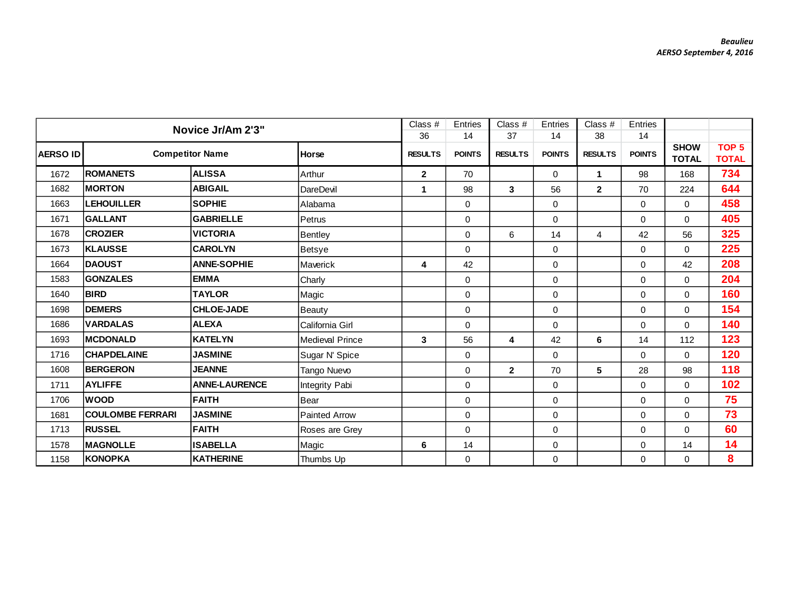|                 |                         | Novice Jr/Am 2'3"      |                        | Class #        | Entries       | Class #        | Entries       | Class $#$      | Entries       |                             |                                  |
|-----------------|-------------------------|------------------------|------------------------|----------------|---------------|----------------|---------------|----------------|---------------|-----------------------------|----------------------------------|
|                 |                         |                        |                        | 36             | 14            | 37             | 14            | 38             | 14            |                             |                                  |
| <b>AERSO ID</b> |                         | <b>Competitor Name</b> | Horse                  | <b>RESULTS</b> | <b>POINTS</b> | <b>RESULTS</b> | <b>POINTS</b> | <b>RESULTS</b> | <b>POINTS</b> | <b>SHOW</b><br><b>TOTAL</b> | TOP <sub>5</sub><br><b>TOTAL</b> |
| 1672            | <b>ROMANETS</b>         | <b>ALISSA</b>          | Arthur                 | $\mathbf{2}$   | 70            |                | $\Omega$      | 1              | 98            | 168                         | 734                              |
| 1682            | <b>MORTON</b>           | <b>ABIGAIL</b>         | DareDevil              | $\mathbf{1}$   | 98            | 3              | 56            | $\overline{2}$ | 70            | 224                         | 644                              |
| 1663            | <b>LEHOUILLER</b>       | <b>SOPHIE</b>          | Alabama                |                | 0             |                | $\mathbf 0$   |                | $\Omega$      | 0                           | 458                              |
| 1671            | <b>GALLANT</b>          | <b>GABRIELLE</b>       | Petrus                 |                | 0             |                | 0             |                | $\mathbf 0$   | $\Omega$                    | 405                              |
| 1678            | <b>CROZIER</b>          | <b>VICTORIA</b>        | <b>Bentley</b>         |                | $\Omega$      | 6              | 14            | 4              | 42            | 56                          | 325                              |
| 1673            | <b>KLAUSSE</b>          | <b>CAROLYN</b>         | Betsye                 |                | $\Omega$      |                | $\Omega$      |                | $\Omega$      | $\Omega$                    | 225                              |
| 1664            | <b>DAOUST</b>           | <b>ANNE-SOPHIE</b>     | Maverick               | 4              | 42            |                | $\mathbf 0$   |                | $\mathbf 0$   | 42                          | 208                              |
| 1583            | <b>GONZALES</b>         | <b>EMMA</b>            | Charly                 |                | 0             |                | $\mathbf 0$   |                | $\mathbf 0$   | $\mathbf 0$                 | 204                              |
| 1640            | <b>BIRD</b>             | <b>TAYLOR</b>          | Magic                  |                | 0             |                | $\mathbf 0$   |                | $\mathbf 0$   | $\mathbf 0$                 | 160                              |
| 1698            | <b>DEMERS</b>           | <b>CHLOE-JADE</b>      | Beauty                 |                | 0             |                | $\mathsf 0$   |                | $\mathbf 0$   | 0                           | 154                              |
| 1686            | <b>VARDALAS</b>         | <b>ALEXA</b>           | California Girl        |                | 0             |                | $\mathbf 0$   |                | $\Omega$      | 0                           | 140                              |
| 1693            | <b>MCDONALD</b>         | <b>KATELYN</b>         | <b>Medieval Prince</b> | 3              | 56            | 4              | 42            | 6              | 14            | 112                         | 123                              |
| 1716            | <b>CHAPDELAINE</b>      | <b>JASMINE</b>         | Sugar N' Spice         |                | 0             |                | $\mathbf 0$   |                | $\Omega$      | $\Omega$                    | 120                              |
| 1608            | <b>BERGERON</b>         | <b>JEANNE</b>          | Tango Nuevo            |                | 0             | $\overline{2}$ | 70            | 5              | 28            | 98                          | 118                              |
| 1711            | <b>AYLIFFE</b>          | <b>ANNE-LAURENCE</b>   | Integrity Pabi         |                | $\Omega$      |                | 0             |                | $\Omega$      | $\Omega$                    | 102                              |
| 1706            | <b>WOOD</b>             | <b>FAITH</b>           | Bear                   |                | 0             |                | $\mathbf 0$   |                | $\Omega$      | 0                           | 75                               |
| 1681            | <b>COULOMBE FERRARI</b> | <b>JASMINE</b>         | <b>Painted Arrow</b>   |                | 0             |                | $\mathbf 0$   |                | $\mathbf 0$   | $\Omega$                    | 73                               |
| 1713            | <b>RUSSEL</b>           | <b>FAITH</b>           | Roses are Grey         |                | $\Omega$      |                | 0             |                | $\Omega$      | $\Omega$                    | 60                               |
| 1578            | <b>MAGNOLLE</b>         | <b>ISABELLA</b>        | Magic                  | 6              | 14            |                | 0             |                | 0             | 14                          | 14                               |
| 1158            | <b>KONOPKA</b>          | <b>KATHERINE</b>       | Thumbs Up              |                | 0             |                | $\mathsf 0$   |                | $\mathbf 0$   | $\Omega$                    | 8                                |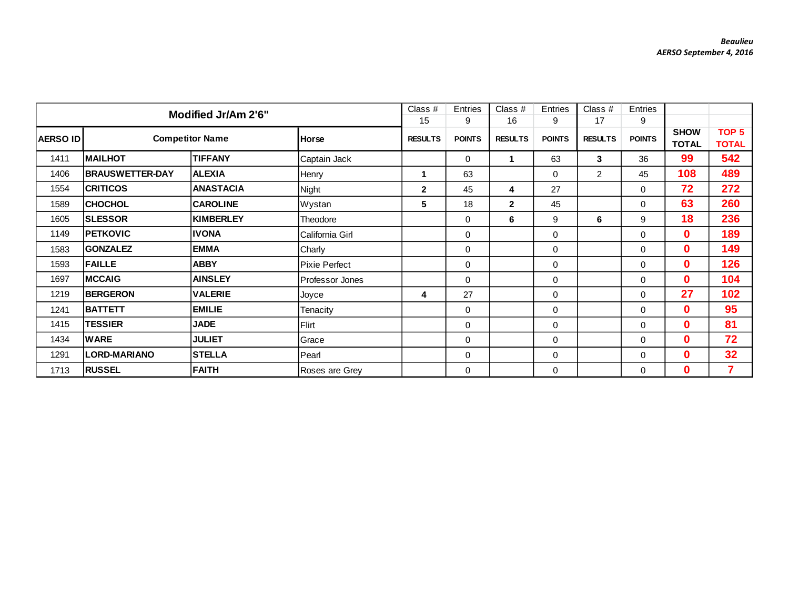|                 |                        |                     | Class $#$            | Entries         | Class #       | Entries        | Class $#$     | Entries        |               |                             |                                  |
|-----------------|------------------------|---------------------|----------------------|-----------------|---------------|----------------|---------------|----------------|---------------|-----------------------------|----------------------------------|
|                 |                        | Modified Jr/Am 2'6" |                      | 15              | 9             | 16             | 9             | 17             | 9             |                             |                                  |
| <b>AERSO ID</b> | <b>Competitor Name</b> |                     | <b>Horse</b>         | <b>RESULTS</b>  | <b>POINTS</b> | <b>RESULTS</b> | <b>POINTS</b> | <b>RESULTS</b> | <b>POINTS</b> | <b>SHOW</b><br><b>TOTAL</b> | TOP <sub>5</sub><br><b>TOTAL</b> |
| 1411            | <b>MAILHOT</b>         | <b>TIFFANY</b>      | Captain Jack         |                 | 0             | 1              | 63            | $\mathbf{3}$   | 36            | 99                          | 542                              |
| 1406            | <b>BRAUSWETTER-DAY</b> | <b>ALEXIA</b>       | Henry                | 1               | 63            |                | $\mathbf 0$   | 2              | 45            | 108                         | 489                              |
| 1554            | <b>CRITICOS</b>        | <b>ANASTACIA</b>    | Night                | $\mathbf{2}$    | 45            | 4              | 27            |                | 0             | 72                          | 272                              |
| 1589            | <b>CHOCHOL</b>         | <b>CAROLINE</b>     | Wystan               | $5\phantom{.0}$ | 18            | $\mathbf{2}$   | 45            |                | 0             | 63                          | 260                              |
| 1605            | <b>SLESSOR</b>         | <b>KIMBERLEY</b>    | Theodore             |                 | 0             | 6              | 9             | 6              | 9             | 18                          | 236                              |
| 1149            | <b>IPETKOVIC</b>       | <b>IVONA</b>        | California Girl      |                 | 0             |                | 0             |                | $\Omega$      | 0                           | 189                              |
| 1583            | <b>GONZALEZ</b>        | <b>EMMA</b>         | Charly               |                 | 0             |                | $\mathbf 0$   |                | 0             | 0                           | 149                              |
| 1593            | <b>FAILLE</b>          | <b>ABBY</b>         | <b>Pixie Perfect</b> |                 | 0             |                | $\mathbf 0$   |                | 0             | 0                           | 126                              |
| 1697            | MCCAIG                 | <b>AINSLEY</b>      | Professor Jones      |                 | 0             |                | $\mathbf 0$   |                | $\Omega$      | 0                           | 104                              |
| 1219            | <b>BERGERON</b>        | <b>VALERIE</b>      | Joyce                | 4               | 27            |                | $\mathbf 0$   |                | $\Omega$      | 27                          | 102                              |
| 1241            | <b>BATTETT</b>         | <b>EMILIE</b>       | Tenacity             |                 | 0             |                | 0             |                | 0             | 0                           | 95                               |
| 1415            | <b>TESSIER</b>         | <b>JADE</b>         | Flirt                |                 | $\Omega$      |                | 0             |                | 0             | 0                           | 81                               |
| 1434            | <b>WARE</b>            | <b>JULIET</b>       | Grace                |                 | $\Omega$      |                | 0             |                | 0             | 0                           | 72                               |
| 1291            | <b>LORD-MARIANO</b>    | <b>STELLA</b>       | Pearl                |                 | 0             |                | 0             |                | $\Omega$      | 0                           | 32                               |
| 1713            | <b>RUSSEL</b>          | <b>FAITH</b>        | Roses are Grey       |                 | 0             |                | 0             |                | 0             | 0                           | $\overline{\mathbf{z}}$          |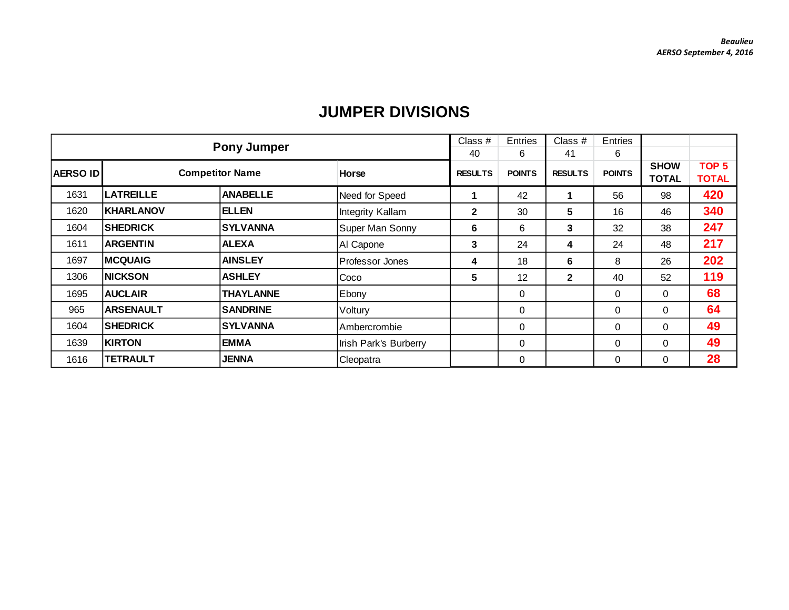|          |                  | <b>Pony Jumper</b>     |                       | Class $#$      | Entries       | Class $#$      | <b>Entries</b> |                             |                                  |
|----------|------------------|------------------------|-----------------------|----------------|---------------|----------------|----------------|-----------------------------|----------------------------------|
|          |                  |                        |                       | 40             | 6             | 41             | 6              |                             |                                  |
| AERSO ID |                  | <b>Competitor Name</b> | Horse                 | <b>RESULTS</b> | <b>POINTS</b> | <b>RESULTS</b> | <b>POINTS</b>  | <b>SHOW</b><br><b>TOTAL</b> | TOP <sub>5</sub><br><b>TOTAL</b> |
| 1631     | <b>LATREILLE</b> | <b>ANABELLE</b>        | Need for Speed        |                | 42            | 1              | 56             | 98                          | 420                              |
| 1620     | <b>KHARLANOV</b> | <b>ELLEN</b>           | Integrity Kallam      | $\mathbf{2}$   | 30            | 5              | 16             | 46                          | 340                              |
| 1604     | <b>SHEDRICK</b>  | <b>SYLVANNA</b>        | Super Man Sonny       | 6              | 6             | 3              | 32             | 38                          | 247                              |
| 1611     | <b>ARGENTIN</b>  | <b>ALEXA</b>           | Al Capone             | 3              | 24            | 4              | 24             | 48                          | 217                              |
| 1697     | <b>MCQUAIG</b>   | <b>AINSLEY</b>         | l Professor Jones     | 4              | 18            | 6              | 8              | 26                          | 202                              |
| 1306     | <b>NICKSON</b>   | <b>ASHLEY</b>          | Coco                  | 5              | 12            | $\mathbf{2}$   | 40             | 52                          | 119                              |
| 1695     | <b>AUCLAIR</b>   | <b>THAYLANNE</b>       | Ebony                 |                | 0             |                | 0              | $\Omega$                    | 68                               |
| 965      | <b>ARSENAULT</b> | <b>SANDRINE</b>        | Voltury               |                | 0             |                | 0              | 0                           | 64                               |
| 1604     | <b>SHEDRICK</b>  | <b>SYLVANNA</b>        | Ambercrombie          |                | 0             |                | $\mathbf 0$    | 0                           | 49                               |
| 1639     | <b>KIRTON</b>    | <b>EMMA</b>            | Irish Park's Burberry |                | 0             |                | 0              | 0                           | 49                               |
| 1616     | <b>TETRAULT</b>  | JENNA                  | Cleopatra             |                | 0             |                | $\Omega$       | 0                           | 28                               |

## **JUMPER DIVISIONS**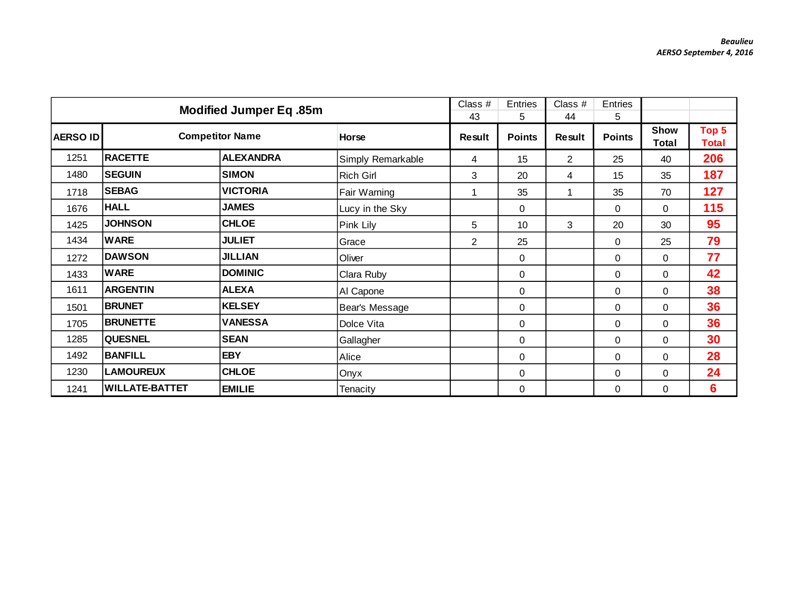|                 | <b>Modified Jumper Eq. 85m</b> |                        | Class #<br>43     | Entries<br>5   | Class #<br>44 | Entries<br>5   |               |                      |                       |
|-----------------|--------------------------------|------------------------|-------------------|----------------|---------------|----------------|---------------|----------------------|-----------------------|
| <b>AERSO ID</b> |                                | <b>Competitor Name</b> | <b>Horse</b>      | Result         | <b>Points</b> | Result         | <b>Points</b> | <b>Show</b><br>Total | Top 5<br><b>Total</b> |
| 1251            | <b>RACETTE</b>                 | <b>ALEXANDRA</b>       | Simply Remarkable | 4              | 15            | $\overline{2}$ | 25            | 40                   | 206                   |
| 1480            | <b>SEGUIN</b>                  | <b>SIMON</b>           | <b>Rich Girl</b>  | 3              | 20            | 4              | 15            | 35                   | 187                   |
| 1718            | <b>SEBAG</b>                   | <b>VICTORIA</b>        | Fair Warning      | 1              | 35            | 1              | 35            | 70                   | 127                   |
| 1676            | <b>HALL</b>                    | <b>JAMES</b>           | Lucy in the Sky   |                | 0             |                | $\Omega$      | $\Omega$             | 115                   |
| 1425            | <b>JOHNSON</b>                 | <b>CHLOE</b>           | Pink Lily         | 5              | 10            | 3              | 20            | 30                   | 95                    |
| 1434            | <b>WARE</b>                    | <b>JULIET</b>          | Grace             | $\overline{2}$ | 25            |                | $\Omega$      | 25                   | 79                    |
| 1272            | <b>DAWSON</b>                  | <b>JILLIAN</b>         | Oliver            |                | 0             |                | $\Omega$      | $\Omega$             | 77                    |
| 1433            | <b>WARE</b>                    | <b>DOMINIC</b>         | Clara Ruby        |                | 0             |                | $\Omega$      | $\Omega$             | 42                    |
| 1611            | <b>ARGENTIN</b>                | <b>ALEXA</b>           | Al Capone         |                | 0             |                | $\Omega$      | $\Omega$             | 38                    |
| 1501            | <b>BRUNET</b>                  | <b>KELSEY</b>          | Bear's Message    |                | 0             |                | $\Omega$      | $\Omega$             | 36                    |
| 1705            | <b>BRUNETTE</b>                | <b>VANESSA</b>         | Dolce Vita        |                | $\mathbf 0$   |                | $\Omega$      | $\Omega$             | 36                    |
| 1285            | <b>QUESNEL</b>                 | <b>SEAN</b>            | Gallagher         |                | 0             |                | 0             | $\Omega$             | 30                    |
| 1492            | <b>BANFILL</b>                 | <b>EBY</b>             | Alice             |                | 0             |                | $\Omega$      | $\Omega$             | 28                    |
| 1230            | <b>LAMOUREUX</b>               | <b>CHLOE</b>           | Onyx              |                | 0             |                | $\Omega$      | $\Omega$             | 24                    |
| 1241            | <b>WILLATE-BATTET</b>          | <b>EMILIE</b>          | Tenacity          |                | 0             |                | 0             | 0                    | 6                     |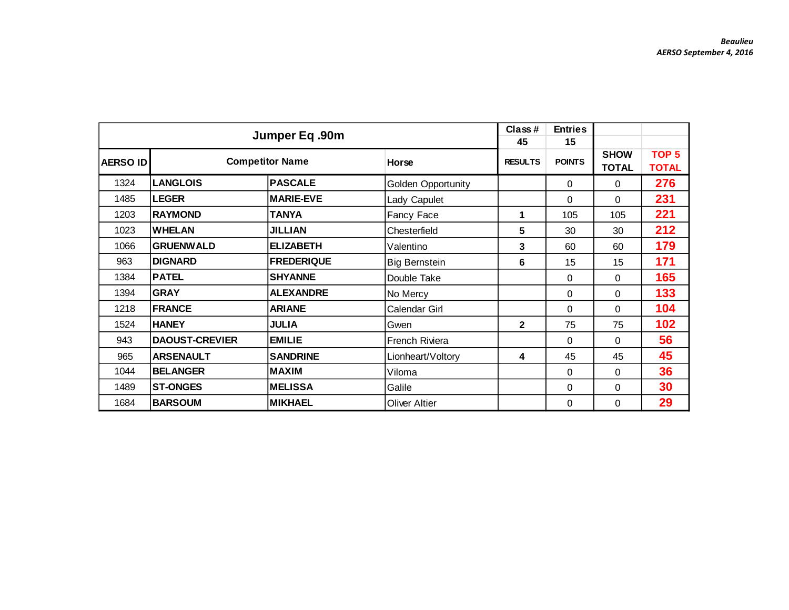|                 |                       | Jumper Eq .90m         |                           | Class#<br>45   | <b>Entries</b><br>15 |                             |                                  |
|-----------------|-----------------------|------------------------|---------------------------|----------------|----------------------|-----------------------------|----------------------------------|
| <b>AERSO ID</b> |                       | <b>Competitor Name</b> | <b>Horse</b>              | <b>RESULTS</b> | <b>POINTS</b>        | <b>SHOW</b><br><b>TOTAL</b> | TOP <sub>5</sub><br><b>TOTAL</b> |
| 1324            | <b>LANGLOIS</b>       | <b>PASCALE</b>         | <b>Golden Opportunity</b> |                | 0                    | 0                           | 276                              |
| 1485            | <b>LEGER</b>          | <b>MARIE-EVE</b>       | Lady Capulet              |                | 0                    | $\Omega$                    | 231                              |
| 1203            | <b>RAYMOND</b>        | <b>TANYA</b>           | <b>Fancy Face</b>         | 1              | 105                  | 105                         | 221                              |
| 1023            | <b>WHELAN</b>         | <b>JILLIAN</b>         | Chesterfield              | 5              | 30                   | 30                          | 212                              |
| 1066            | <b>GRUENWALD</b>      | <b>ELIZABETH</b>       | Valentino                 | 3              | 60                   | 60                          | 179                              |
| 963             | <b>DIGNARD</b>        | <b>FREDERIQUE</b>      | Big Bernstein             | 6              | 15                   | 15                          | 171                              |
| 1384            | <b>PATEL</b>          | <b>SHYANNE</b>         | Double Take               |                | 0                    | 0                           | 165                              |
| 1394            | <b>GRAY</b>           | <b>ALEXANDRE</b>       | No Mercy                  |                | 0                    | $\Omega$                    | 133                              |
| 1218            | <b>FRANCE</b>         | <b>ARIANE</b>          | Calendar Girl             |                | 0                    | $\Omega$                    | 104                              |
| 1524            | <b>HANEY</b>          | <b>JULIA</b>           | Gwen                      | $\mathbf{2}$   | 75                   | 75                          | 102                              |
| 943             | <b>DAOUST-CREVIER</b> | <b>EMILIE</b>          | French Riviera            |                | 0                    | $\Omega$                    | 56                               |
| 965             | <b>ARSENAULT</b>      | <b>SANDRINE</b>        | Lionheart/Voltory         | 4              | 45                   | 45                          | 45                               |
| 1044            | <b>BELANGER</b>       | <b>MAXIM</b>           | Viloma                    |                | $\Omega$             | $\Omega$                    | 36                               |
| 1489            | <b>ST-ONGES</b>       | <b>MELISSA</b>         | Galile                    |                | 0                    | $\Omega$                    | 30                               |
| 1684            | <b>BARSOUM</b>        | <b>MIKHAEL</b>         | <b>Oliver Altier</b>      |                | 0                    | 0                           | 29                               |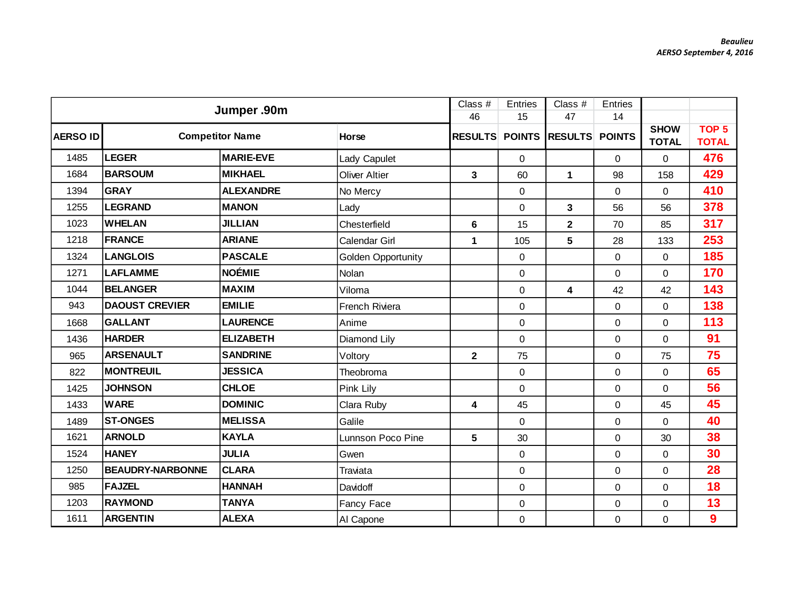|                 |                         | Jumper .90m            |                      | Class #                 | Entries        | Class #                 | Entries     |                             |                  |
|-----------------|-------------------------|------------------------|----------------------|-------------------------|----------------|-------------------------|-------------|-----------------------------|------------------|
|                 |                         |                        |                      | 46                      | 15             | 47                      | 14          |                             | TOP <sub>5</sub> |
| <b>AERSO ID</b> |                         | <b>Competitor Name</b> | Horse                | <b>RESULTS POINTS</b>   |                | <b>RESULTS POINTS</b>   |             | <b>SHOW</b><br><b>TOTAL</b> | <b>TOTAL</b>     |
| 1485            | <b>LEGER</b>            | <b>MARIE-EVE</b>       | Lady Capulet         |                         | $\pmb{0}$      |                         | 0           | $\mathbf 0$                 | 476              |
| 1684            | <b>BARSOUM</b>          | <b>MIKHAEL</b>         | <b>Oliver Altier</b> | $\overline{\mathbf{3}}$ | 60             | 1                       | 98          | 158                         | 429              |
| 1394            | <b>GRAY</b>             | <b>ALEXANDRE</b>       | No Mercy             |                         | $\pmb{0}$      |                         | 0           | $\mathbf 0$                 | 410              |
| 1255            | <b>LEGRAND</b>          | <b>MANON</b>           | Lady                 |                         | $\overline{0}$ | 3                       | 56          | 56                          | 378              |
| 1023            | <b>WHELAN</b>           | <b>JILLIAN</b>         | Chesterfield         | 6                       | 15             | $\mathbf{2}$            | 70          | 85                          | 317              |
| 1218            | <b>FRANCE</b>           | <b>ARIANE</b>          | Calendar Girl        | $\mathbf 1$             | 105            | 5                       | 28          | 133                         | 253              |
| 1324            | <b>LANGLOIS</b>         | <b>PASCALE</b>         | Golden Opportunity   |                         | $\pmb{0}$      |                         | 0           | 0                           | 185              |
| 1271            | <b>LAFLAMME</b>         | <b>NOÉMIE</b>          | Nolan                |                         | $\pmb{0}$      |                         | 0           | $\mathbf 0$                 | 170              |
| 1044            | <b>BELANGER</b>         | <b>MAXIM</b>           | Viloma               |                         | $\mathbf 0$    | $\overline{\mathbf{4}}$ | 42          | 42                          | 143              |
| 943             | <b>DAOUST CREVIER</b>   | <b>EMILIE</b>          | French Riviera       |                         | $\mathbf 0$    |                         | $\Omega$    | $\mathbf 0$                 | 138              |
| 1668            | <b>GALLANT</b>          | <b>LAURENCE</b>        | Anime                |                         | $\pmb{0}$      |                         | 0           | $\mathbf 0$                 | 113              |
| 1436            | <b>HARDER</b>           | <b>ELIZABETH</b>       | Diamond Lily         |                         | $\mathbf 0$    |                         | $\Omega$    | $\Omega$                    | 91               |
| 965             | <b>ARSENAULT</b>        | <b>SANDRINE</b>        | Voltory              | $\mathbf{2}$            | 75             |                         | 0           | 75                          | 75               |
| 822             | <b>MONTREUIL</b>        | <b>JESSICA</b>         | Theobroma            |                         | $\mathbf 0$    |                         | $\Omega$    | $\Omega$                    | 65               |
| 1425            | <b>JOHNSON</b>          | <b>CHLOE</b>           | Pink Lily            |                         | $\mathbf 0$    |                         | $\mathbf 0$ | $\mathbf 0$                 | 56               |
| 1433            | <b>WARE</b>             | <b>DOMINIC</b>         | Clara Ruby           | 4                       | 45             |                         | $\mathbf 0$ | 45                          | 45               |
| 1489            | <b>ST-ONGES</b>         | <b>MELISSA</b>         | Galile               |                         | $\mathbf 0$    |                         | $\Omega$    | $\Omega$                    | 40               |
| 1621            | <b>ARNOLD</b>           | <b>KAYLA</b>           | Lunnson Poco Pine    | 5                       | 30             |                         | 0           | 30                          | 38               |
| 1524            | <b>HANEY</b>            | <b>JULIA</b>           | Gwen                 |                         | 0              |                         | $\Omega$    | $\Omega$                    | 30               |
| 1250            | <b>BEAUDRY-NARBONNE</b> | <b>CLARA</b>           | Traviata             |                         | $\pmb{0}$      |                         | 0           | $\Omega$                    | 28               |
| 985             | <b>FAJZEL</b>           | <b>HANNAH</b>          | Davidoff             |                         | $\pmb{0}$      |                         | $\mathbf 0$ | $\mathbf 0$                 | 18               |
| 1203            | <b>RAYMOND</b>          | <b>TANYA</b>           | Fancy Face           |                         | $\pmb{0}$      |                         | 0           | $\mathbf 0$                 | 13               |
| 1611            | <b>ARGENTIN</b>         | <b>ALEXA</b>           | Al Capone            |                         | $\pmb{0}$      |                         | 0           | 0                           | 9                |